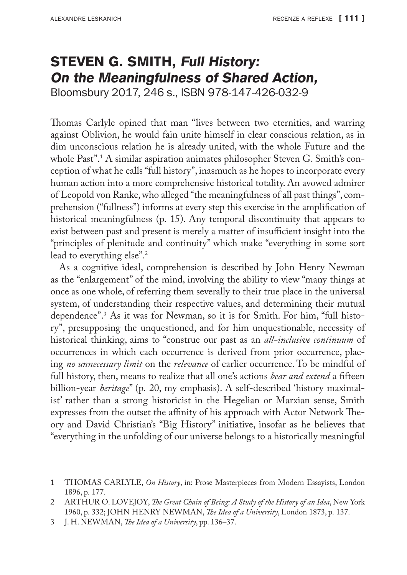## STEVEN G. SMITH, Full History: On the Meaningfulness of Shared Action,

Bloomsbury 2017, 246 s., ISBN 978-147-426-032-9

Thomas Carlyle opined that man "lives between two eternities, and warring against Oblivion, he would fain unite himself in clear conscious relation, as in dim unconscious relation he is already united, with the whole Future and the whole Past".1 A similar aspiration animates philosopher Steven G. Smith's conception of what he calls "full history", inasmuch as he hopes to incorporate every human action into a more comprehensive historical totality. An avowed admirer of Leopold von Ranke, who alleged "the meaningfulness of all past things", comprehension ("fullness") informs at every step this exercise in the amplification of historical meaningfulness (p. 15). Any temporal discontinuity that appears to exist between past and present is merely a matter of insufficient insight into the "principles of plenitude and continuity" which make "everything in some sort lead to everything else".<sup>2</sup>

As a cognitive ideal, comprehension is described by John Henry Newman as the "enlargement" of the mind, involving the ability to view "many things at once as one whole, of referring them severally to their true place in the universal system, of understanding their respective values, and determining their mutual dependence".3 As it was for Newman, so it is for Smith. For him, "full history", presupposing the unquestioned, and for him unquestionable, necessity of historical thinking, aims to "construe our past as an *all-inclusive continuum* of occurrences in which each occurrence is derived from prior occurrence, placing *no unnecessary limit* on the *relevance* of earlier occurrence. To be mindful of full history, then, means to realize that all one's actions *bear and extend* a fifteen billion-year *heritage*" (p. 20, my emphasis). A self-described 'history maximalist' rather than a strong historicist in the Hegelian or Marxian sense, Smith expresses from the outset the affinity of his approach with Actor Network Theory and David Christian's "Big History" initiative, insofar as he believes that "everything in the unfolding of our universe belongs to a historically meaningful

<sup>1</sup> THOMAS CARLYLE, *On History*, in: Prose Masterpieces from Modern Essayists, London 1896, p. 177.

<sup>2</sup> ARTHUR O. LOVEJOY, *The Great Chain of Being: A Study of the History of an Idea*, New York 1960, p. 332; JOHN HENRY NEWMAN, *The Idea of a University*, London 1873, p. 137.

<sup>3</sup> J. H. NEWMAN, *The Idea of a University*, pp. 136–37.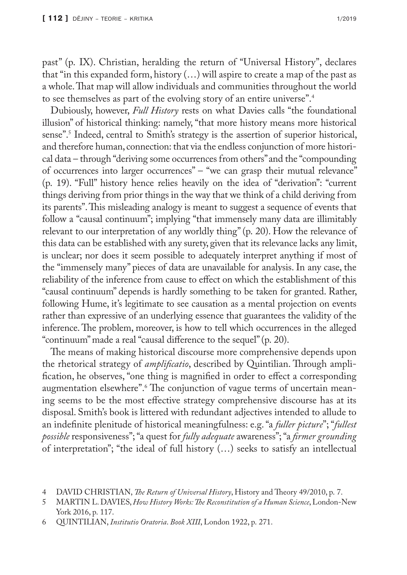past" (p. IX). Christian, heralding the return of "Universal History", declares that "in this expanded form, history  $(...)$  will aspire to create a map of the past as a whole. That map will allow individuals and communities throughout the world to see themselves as part of the evolving story of an entire universe".4

Dubiously, however, *Full History* rests on what Davies calls "the foundational illusion" of historical thinking: namely, "that more history means more historical sense".<sup>5</sup> Indeed, central to Smith's strategy is the assertion of superior historical, and therefore human, connection: that via the endless conjunction of more historical data – through "deriving some occurrences from others" and the "compounding of occurrences into larger occurrences" – "we can grasp their mutual relevance" (p. 19). "Full" history hence relies heavily on the idea of "derivation": "current things deriving from prior things in the way that we think of a child deriving from its parents". This misleading analogy is meant to suggest a sequence of events that follow a "causal continuum"; implying "that immensely many data are illimitably relevant to our interpretation of any worldly thing" (p. 20). How the relevance of this data can be established with any surety, given that its relevance lacks any limit, is unclear; nor does it seem possible to adequately interpret anything if most of the "immensely many" pieces of data are unavailable for analysis. In any case, the reliability of the inference from cause to effect on which the establishment of this "causal continuum" depends is hardly something to be taken for granted. Rather, following Hume, it's legitimate to see causation as a mental projection on events rather than expressive of an underlying essence that guarantees the validity of the inference. The problem, moreover, is how to tell which occurrences in the alleged "continuum" made a real "causal difference to the sequel" (p. 20).

The means of making historical discourse more comprehensive depends upon the rhetorical strategy of *amplificatio*, described by Quintilian. Through amplification, he observes, "one thing is magnified in order to effect a corresponding augmentation elsewhere".<sup>6</sup> The conjunction of vague terms of uncertain meaning seems to be the most effective strategy comprehensive discourse has at its disposal. Smith's book is littered with redundant adjectives intended to allude to an indefinite plenitude of historical meaningfulness: e.g. "a *fuller picture*"; "*fullest possible* responsiveness"; "a quest for *fully adequate* awareness"; "a *firmer grounding* of interpretation"; "the ideal of full history (…) seeks to satisfy an intellectual

<sup>4</sup> DAVID CHRISTIAN, *The Return of Universal History*, History and Theory 49/2010, p. 7.

<sup>5</sup> MARTIN L. DAVIES, *How History Works: The Reconstitution of a Human Science*, London-New York 2016, p. 117.

<sup>6</sup> QUINTILIAN, *Institutio Oratoria*. *Book XIII*, London 1922, p. 271.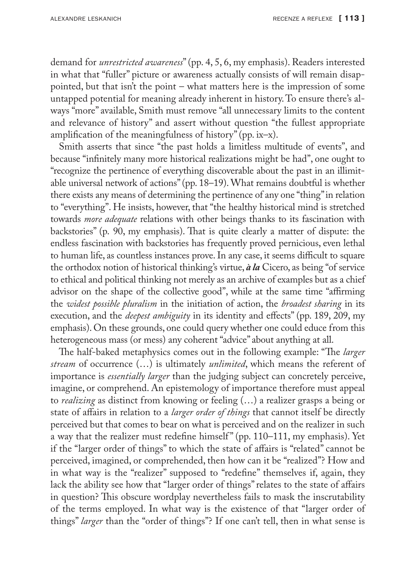demand for *unrestricted awareness*" (pp. 4, 5, 6, my emphasis). Readers interested in what that "fuller" picture or awareness actually consists of will remain disappointed, but that isn't the point – what matters here is the impression of some untapped potential for meaning already inherent in history. To ensure there's always "more" available, Smith must remove "all unnecessary limits to the content and relevance of history" and assert without question "the fullest appropriate amplification of the meaningfulness of history" (pp. ix–x).

Smith asserts that since "the past holds a limitless multitude of events", and because "infinitely many more historical realizations might be had", one ought to "recognize the pertinence of everything discoverable about the past in an illimitable universal network of actions" (pp. 18–19). What remains doubtful is whether there exists any means of determining the pertinence of any one "thing" in relation to "everything". He insists, however, that "the healthy historical mind is stretched towards *more adequate* relations with other beings thanks to its fascination with backstories" (p. 90, my emphasis). That is quite clearly a matter of dispute: the endless fascination with backstories has frequently proved pernicious, even lethal to human life, as countless instances prove. In any case, it seems difficult to square the orthodox notion of historical thinking's virtue, *à la* Cicero, as being "of service to ethical and political thinking not merely as an archive of examples but as a chief advisor on the shape of the collective good", while at the same time "affirming the *widest possible pluralism* in the initiation of action, the *broadest sharing* in its execution, and the *deepest ambiguity* in its identity and effects" (pp. 189, 209, my emphasis). On these grounds, one could query whether one could educe from this heterogeneous mass (or mess) any coherent "advice" about anything at all.

The half-baked metaphysics comes out in the following example: "The *larger stream* of occurrence (…) is ultimately *unlimited*, which means the referent of importance is *essentially larger* than the judging subject can concretely perceive, imagine, or comprehend. An epistemology of importance therefore must appeal to *realizing* as distinct from knowing or feeling (…) a realizer grasps a being or state of affairs in relation to a *larger order of things* that cannot itself be directly perceived but that comes to bear on what is perceived and on the realizer in such a way that the realizer must redefine himself" (pp. 110-111, my emphasis). Yet if the "larger order of things" to which the state of affairs is "related" cannot be perceived, imagined, or comprehended, then how can it be "realized"? How and in what way is the "realizer" supposed to "redefine" themselves if, again, they lack the ability see how that "larger order of things" relates to the state of affairs in question? This obscure wordplay nevertheless fails to mask the inscrutability of the terms employed. In what way is the existence of that "larger order of things" *larger* than the "order of things"? If one can't tell, then in what sense is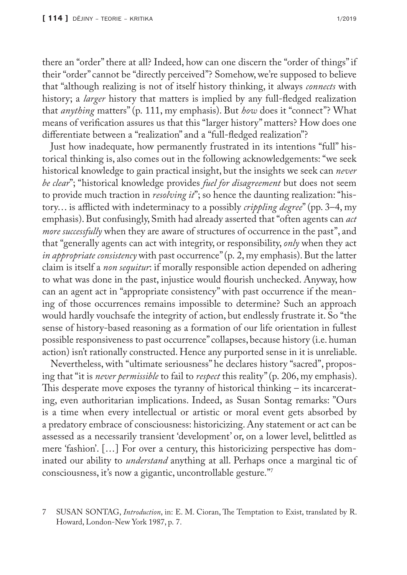there an "order" there at all? Indeed, how can one discern the "order of things" if their "order" cannot be "directly perceived"? Somehow, we're supposed to believe that "although realizing is not of itself history thinking, it always *connects* with history; a *larger* history that matters is implied by any full-fledged realization that *anything* matters" (p. 111, my emphasis). But *how* does it "connect"? What means of verification assures us that this "larger history" matters? How does one differentiate between a "realization" and a "full-fledged realization"?

Just how inadequate, how permanently frustrated in its intentions "full" historical thinking is, also comes out in the following acknowledgements: "we seek historical knowledge to gain practical insight, but the insights we seek can *never be clear*"; "historical knowledge provides *fuel for disagreement* but does not seem to provide much traction in *resolving it*"; so hence the daunting realization: "history… is afflicted with indeterminacy to a possibly *crippling degree*" (pp. 3–4, my emphasis). But confusingly, Smith had already asserted that "often agents can *act more successfully* when they are aware of structures of occurrence in the past", and that "generally agents can act with integrity, or responsibility, *only* when they act *in appropriate consistency* with past occurrence" (p. 2, my emphasis). But the latter claim is itself a *non sequitur*: if morally responsible action depended on adhering to what was done in the past, injustice would flourish unchecked. Anyway, how can an agent act in "appropriate consistency" with past occurrence if the meaning of those occurrences remains impossible to determine? Such an approach would hardly vouchsafe the integrity of action, but endlessly frustrate it. So "the sense of history-based reasoning as a formation of our life orientation in fullest possible responsiveness to past occurrence" collapses, because history (i.e. human action) isn't rationally constructed. Hence any purported sense in it is unreliable.

Nevertheless, with "ultimate seriousness" he declares history "sacred", proposing that "it is *never permissible* to fail to *respect* this reality" (p. 206, my emphasis). This desperate move exposes the tyranny of historical thinking – its incarcerating, even authoritarian implications. Indeed, as Susan Sontag remarks: "Ours is a time when every intellectual or artistic or moral event gets absorbed by a predatory embrace of consciousness: historicizing. Any statement or act can be assessed as a necessarily transient 'development' or, on a lower level, belittled as mere 'fashion'. […] For over a century, this historicizing perspective has dominated our ability to *understand* anything at all. Perhaps once a marginal tic of consciousness, it's now a gigantic, uncontrollable gesture."7

<sup>7</sup> SUSAN SONTAG, *Introduction*, in: E. M. Cioran, The Temptation to Exist, translated by R. Howard, London-New York 1987, p. 7.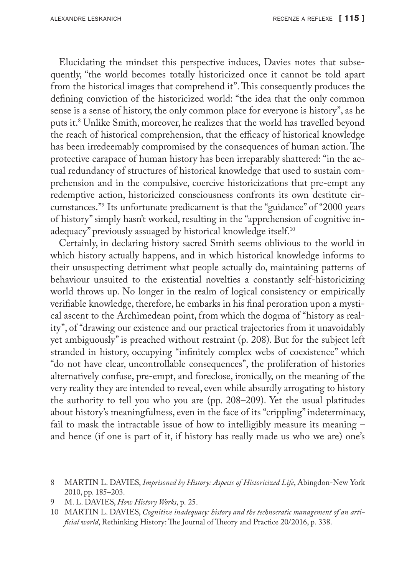Elucidating the mindset this perspective induces, Davies notes that subsequently, "the world becomes totally historicized once it cannot be told apart from the historical images that comprehend it". This consequently produces the defining conviction of the historicized world: "the idea that the only common sense is a sense of history, the only common place for everyone is history", as he puts it.8 Unlike Smith, moreover, he realizes that the world has travelled beyond the reach of historical comprehension, that the efficacy of historical knowledge has been irredeemably compromised by the consequences of human action. The protective carapace of human history has been irreparably shattered: "in the actual redundancy of structures of historical knowledge that used to sustain comprehension and in the compulsive, coercive historicizations that pre-empt any redemptive action, historicized consciousness confronts its own destitute circumstances."9 Its unfortunate predicament is that the "guidance" of "2000 years of history" simply hasn't worked, resulting in the "apprehension of cognitive inadequacy" previously assuaged by historical knowledge itself.<sup>10</sup>

Certainly, in declaring history sacred Smith seems oblivious to the world in which history actually happens, and in which historical knowledge informs to their unsuspecting detriment what people actually do, maintaining patterns of behaviour unsuited to the existential novelties a constantly self-historicizing world throws up. No longer in the realm of logical consistency or empirically verifiable knowledge, therefore, he embarks in his final peroration upon a mystical ascent to the Archimedean point, from which the dogma of "history as reality", of "drawing our existence and our practical trajectories from it unavoidably yet ambiguously" is preached without restraint (p. 208). But for the subject left stranded in history, occupying "infinitely complex webs of coexistence" which "do not have clear, uncontrollable consequences", the proliferation of histories alternatively confuse, pre-empt, and foreclose, ironically, on the meaning of the very reality they are intended to reveal, even while absurdly arrogating to history the authority to tell you who you are (pp. 208–209). Yet the usual platitudes about history's meaningfulness, even in the face of its "crippling" indeterminacy, fail to mask the intractable issue of how to intelligibly measure its meaning – and hence (if one is part of it, if history has really made us who we are) one's

9 M. L. DAVIES, *How History Works*, p. 25.

<sup>8</sup> MARTIN L. DAVIES, *Imprisoned by History: Aspects of Historicized Life*, Abingdon-New York 2010, pp. 185–203.

<sup>10</sup> MARTIN L. DAVIES, *Cognitive inadequacy: history and the technocratic management of an artificial world*, Rethinking History: The Journal of Theory and Practice 20/2016, p. 338.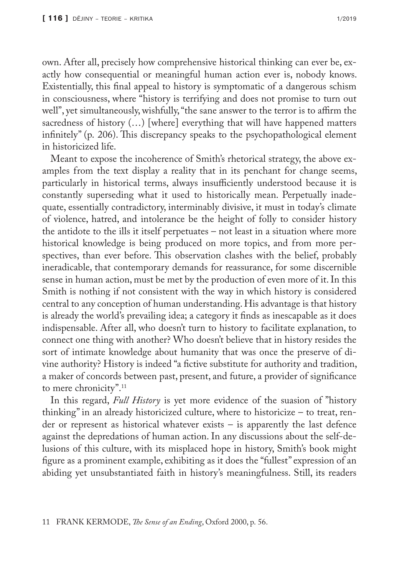own. After all, precisely how comprehensive historical thinking can ever be, exactly how consequential or meaningful human action ever is, nobody knows. Existentially, this final appeal to history is symptomatic of a dangerous schism in consciousness, where "history is terrifying and does not promise to turn out well", yet simultaneously, wishfully, "the sane answer to the terror is to affirm the sacredness of history (…) [where] everything that will have happened matters infinitely" (p. 206). This discrepancy speaks to the psychopathological element in historicized life.

Meant to expose the incoherence of Smith's rhetorical strategy, the above examples from the text display a reality that in its penchant for change seems, particularly in historical terms, always insufficiently understood because it is constantly superseding what it used to historically mean. Perpetually inadequate, essentially contradictory, interminably divisive, it must in today's climate of violence, hatred, and intolerance be the height of folly to consider history the antidote to the ills it itself perpetuates – not least in a situation where more historical knowledge is being produced on more topics, and from more perspectives, than ever before. This observation clashes with the belief, probably ineradicable, that contemporary demands for reassurance, for some discernible sense in human action, must be met by the production of even more of it. In this Smith is nothing if not consistent with the way in which history is considered central to any conception of human understanding. His advantage is that history is already the world's prevailing idea; a category it finds as inescapable as it does indispensable. After all, who doesn't turn to history to facilitate explanation, to connect one thing with another? Who doesn't believe that in history resides the sort of intimate knowledge about humanity that was once the preserve of divine authority? History is indeed "a fictive substitute for authority and tradition, a maker of concords between past, present, and future, a provider of significance to mere chronicity".<sup>11</sup>

In this regard, *Full History* is yet more evidence of the suasion of "history thinking" in an already historicized culture, where to historicize – to treat, render or represent as historical whatever exists – is apparently the last defence against the depredations of human action. In any discussions about the self-delusions of this culture, with its misplaced hope in history, Smith's book might figure as a prominent example, exhibiting as it does the "fullest" expression of an abiding yet unsubstantiated faith in history's meaningfulness. Still, its readers